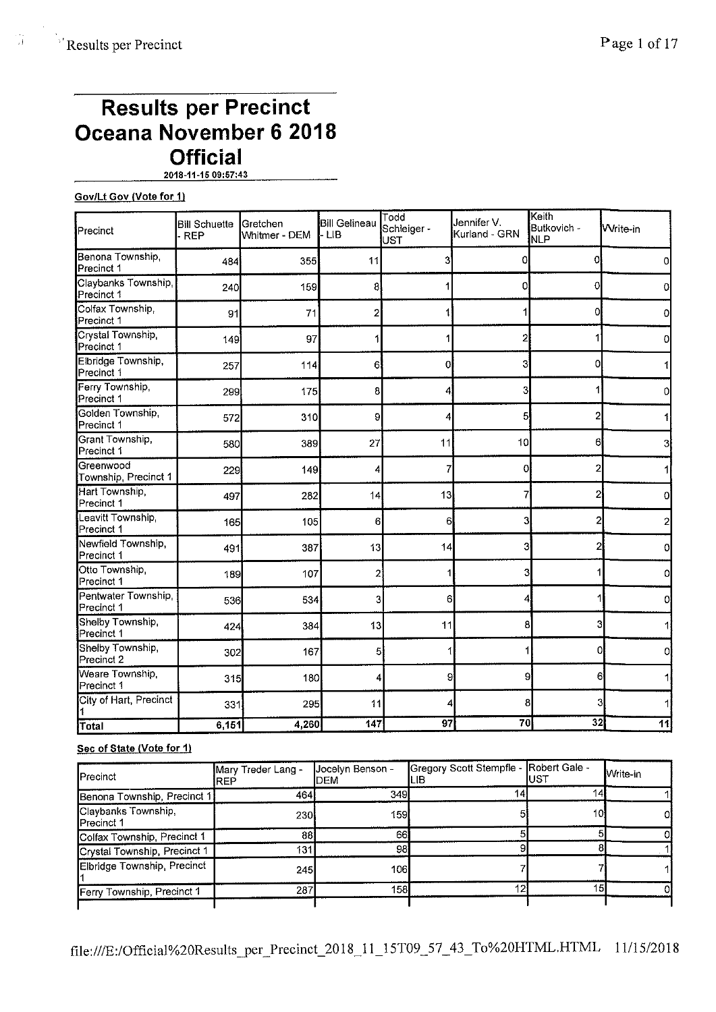# **Results per Precinct Oceana November 6 2018 Official**

**2018-11-15 09:57:43** 

# **Gov/Lt Gov (Vote for 1)**

| Precinct                          | <b>Bill Schuette</b><br><b>REP</b> | Gretchen<br>Whitmer - DEM | <b>Bill Gelineau</b><br>- LIB | Todd<br>Jennifer V.<br>Schleiger -<br>Kurland - GRN<br>UST |    | Keith<br>Butkovich -<br><b>NLP</b> | <b>Write-in</b> |
|-----------------------------------|------------------------------------|---------------------------|-------------------------------|------------------------------------------------------------|----|------------------------------------|-----------------|
| Benona Township,<br>Precinct 1    | 484                                | 355                       | 11                            | 3                                                          | 0  | Ω                                  | 0               |
| Claybanks Township,<br>Precinct 1 | 240                                | 159                       | 8                             |                                                            | Ωl | 0                                  |                 |
| Colfax Township,<br>Precinct 1    | 91                                 | 71                        | $\overline{2}$                |                                                            |    | Ω                                  | 0               |
| Crystal Township,<br>Precinct 1   | 149                                | 97                        |                               |                                                            | 2  |                                    | Ω               |
| Elbridge Township,<br>Precinct 1  | 257                                | 114                       | 61                            | 0                                                          | 3  | 0                                  |                 |
| Ferry Township,<br>Precinct 1     | 299                                | 175                       | 8                             | 4                                                          | 3  |                                    | ٥               |
| Golden Township,<br>Precinct 1    | 572                                | 310                       | 9                             | 4                                                          | 5  | 2                                  |                 |
| Grant Township,<br>Precinct 1     | 580                                | 389                       | 27                            | 11                                                         | 10 | 6                                  | 3               |
| Greenwood<br>Township, Precinct 1 | 229                                | 149                       | 4                             |                                                            | 0  | 2                                  |                 |
| Hart Township,<br>Precinct 1      | 497                                | 282                       | 14                            | 13                                                         | 7  | 2                                  | 0               |
| Leavitt Township,<br>Precinct 1   | 165                                | 105                       | 6                             | 6                                                          | з  |                                    | $\overline{2}$  |
| Newfield Township.<br>Precinct 1  | 491                                | 387                       | 13                            | 14                                                         | 3  | 2                                  | 0               |
| Otto Township,<br>Precinct 1      | 189                                | 107                       | 2                             |                                                            | 3  |                                    | 0               |
| Pentwater Township,<br>Precinct 1 | 536                                | 534                       | 3                             | 6                                                          | 4  |                                    | 0               |
| Shelby Township,<br>Precinct 1    | 424                                | 384                       | 13                            | 11                                                         | 8  | 3                                  | 1               |
| Shelby Township,<br>Precinct 2    | 302                                | 167                       | 5                             |                                                            |    | 0                                  | 0               |
| Weare Township,<br>Precinct 1     | 315                                | 180                       | 4                             | 9.                                                         | 9  | 6                                  | 1               |
| City of Hart, Precinct            | 331                                | 295                       | 11                            |                                                            | 8  | 3                                  | 11              |
| Total                             | 6,151                              | 4,260                     | 147                           | 97                                                         | 70 | 32                                 | 11              |

# **Sec of State (Vote for 1)**

| <b>IPrecinct</b>                          | Mary Treder Lang -<br>IREP | Jocelyn Benson -<br>DEM | Gregory Scott Stempfle - Robert Gale -<br>ILIB | lust | Write-in |
|-------------------------------------------|----------------------------|-------------------------|------------------------------------------------|------|----------|
| Benona Township, Precinct 1:              | 464                        | 349                     |                                                |      |          |
| Claybanks Township,<br><b>IPrecinct 1</b> | 230                        | 159                     |                                                | 10   |          |
| Colfax Township, Precinct 1               | 88                         | 66                      |                                                |      |          |
| Crystal Township, Precinct 1              | 1311                       | 98                      |                                                |      |          |
| Elbridge Township, Precinct               | 245                        | 106                     |                                                |      |          |
| Ferry Township, Precinct 1                | 287                        | 158 <b>I</b>            |                                                | 15   |          |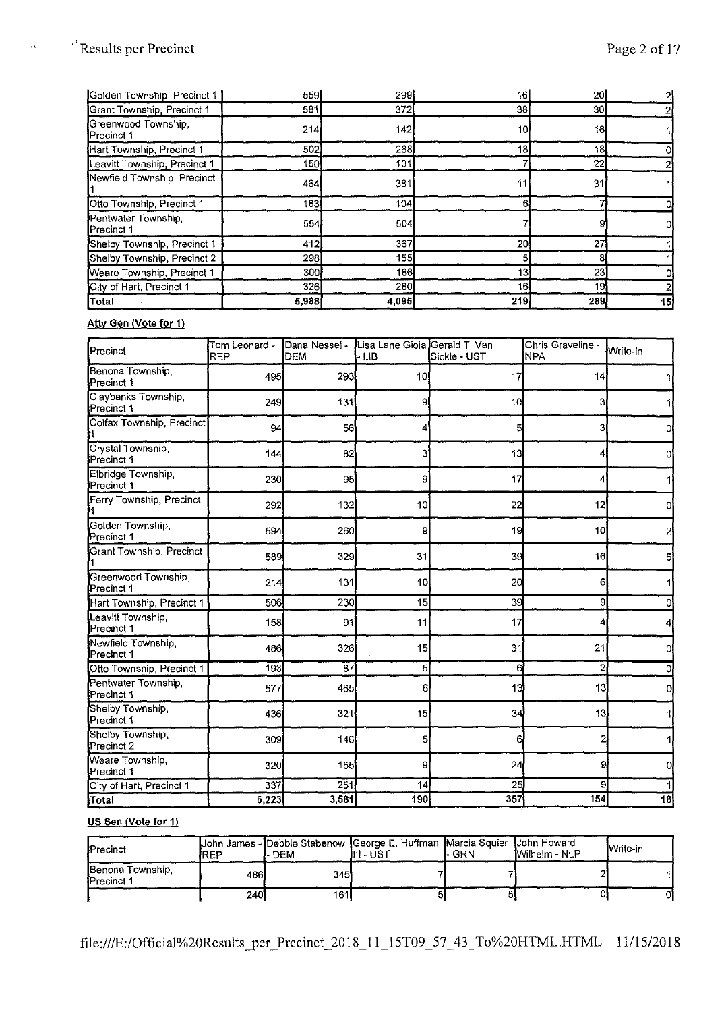$\bar{\alpha}$ 

| <b>Total</b>                      | 5,988 | 4,095 | 219 | 289 | 15 |
|-----------------------------------|-------|-------|-----|-----|----|
| City of Hart, Precinct 1          | 326   | 280   | 16  | 19  |    |
| Weare Township, Precinct 1        | 300   | 186   | 13  | 231 |    |
| Shelby Township, Precinct 2       | 2981  | 155   |     |     |    |
| Shelby Township, Precinct 1       | 412   | 367   | 20  | 27  |    |
| Pentwater Township,<br>Precinct 1 | 554   | 504   |     |     |    |
| Otto Township, Precinct 1         | 183   | 104   |     |     |    |
| Newfield Township, Precinct       | 464   | 381   |     | 31  |    |
| Leavitt Township, Precinct 1      | 150.  | 101   |     | 22  |    |
| Hart Township, Precinct 1         | 502   | 268   | 18  | 18  |    |
| Greenwood Township<br>Precinct 1  | 214   | 142   | 10. | 16  |    |
| Grant Township, Precinct 1        | 581   | 372   | 38  | 30  |    |
| Golden Township, Precinct 1       | 559   | 299   | 16  | 20  |    |

#### **Atty Gen (Vote for 1)**

| Precinct                                  | Tom Leonard -<br><b>REP</b> | Dana Nessel -<br><b>DEM</b> | Lisa Lane Gioia Gerald T. Van<br>- LIB | Sickle - UST | Chris Graveline -<br><b>NPA</b> | Write-in     |
|-------------------------------------------|-----------------------------|-----------------------------|----------------------------------------|--------------|---------------------------------|--------------|
| Benona Township,<br>Precinct 1            | 495                         | 293                         | 10                                     | 17           | 4                               |              |
| Claybanks Township,<br>Precinct 1         | 249                         | 131                         | 9                                      | 10           |                                 |              |
| Colfax Township, Precinct                 | 94                          | 56                          |                                        |              | 3                               | Ol           |
| Crystal Township,<br>Precinct 1           | 144                         | 82                          | 3                                      | 13           | 4                               | 0            |
| Elbridge Township<br>Precinct 1           | 230                         | 95                          | 9                                      | 17           | 4                               |              |
| Ferry Township, Precinct                  | 292                         | 132                         | 10                                     | 22           | 12                              | Οl           |
| Golden Township,<br>Precinct 1            | 594                         | 260                         | 9                                      | 19           | 10 <sup>1</sup>                 | $\mathbf{2}$ |
| Grant Township, Precinct                  | 589                         | 329                         | 31                                     | 39           | 16                              | 51           |
| Greenwood Township,<br>Precinct 1         | 214                         | 131                         | 10                                     | 20           | 6                               |              |
| Hart Township, Precinct 1                 | 506                         | 230                         | 15                                     | 39           | 9                               |              |
| Leavitt Township<br>Precinct 1            | 158                         | 91                          | 11                                     | 17           |                                 |              |
| Newfield Township,<br><b>I</b> Precinct 1 | 486                         | 326                         | 15                                     | 31           | 21                              | O            |
| Otto Township, Precinct 1                 | 193                         | 87                          | 5                                      | 6            | $\overline{2}$                  | Ol           |
| Pentwater Township,<br>Precinct 1         | 577                         | 465                         | 6                                      | 13           | 13                              | 0            |
| Shelby Township,<br>Precinct 1            | 436                         | 321                         | 15                                     | 34           | 13                              |              |
| Shelby Township,<br>Precinct 2            | 309                         | 146                         | 5                                      | 6            |                                 |              |
| Weare Township,<br>Precinct 1             | 320                         | 155                         | 9                                      | 24           | 9                               | 0            |
| City of Hart, Precinct 1                  | 337                         | 251                         | 14                                     | 25           | 9                               |              |
| Total                                     | 6,223                       | 3,581                       | 190                                    | 357          | 154                             | 18           |

# **US Sen (Vote for 1)**

| <b>Precinct</b>                        | IREP       | - DEM | John James - Debbie Stabenow George E. Huffman Marcia Squier John Howard<br>III - UST | . GRN | <b>IWilhelm - NLP</b> | <b>I</b> Write-in |
|----------------------------------------|------------|-------|---------------------------------------------------------------------------------------|-------|-----------------------|-------------------|
| Benona Township,<br><b>IPrecinct 1</b> | 486I       | 345   |                                                                                       |       |                       |                   |
|                                        | <b>240</b> | 161l  |                                                                                       |       |                       | 01                |

file:///E:/Official%20Results \_per\_Precinct\_2018\_11\_15T09 \_57 \_ 43 \_To%20HTML.HTML 11/15/2018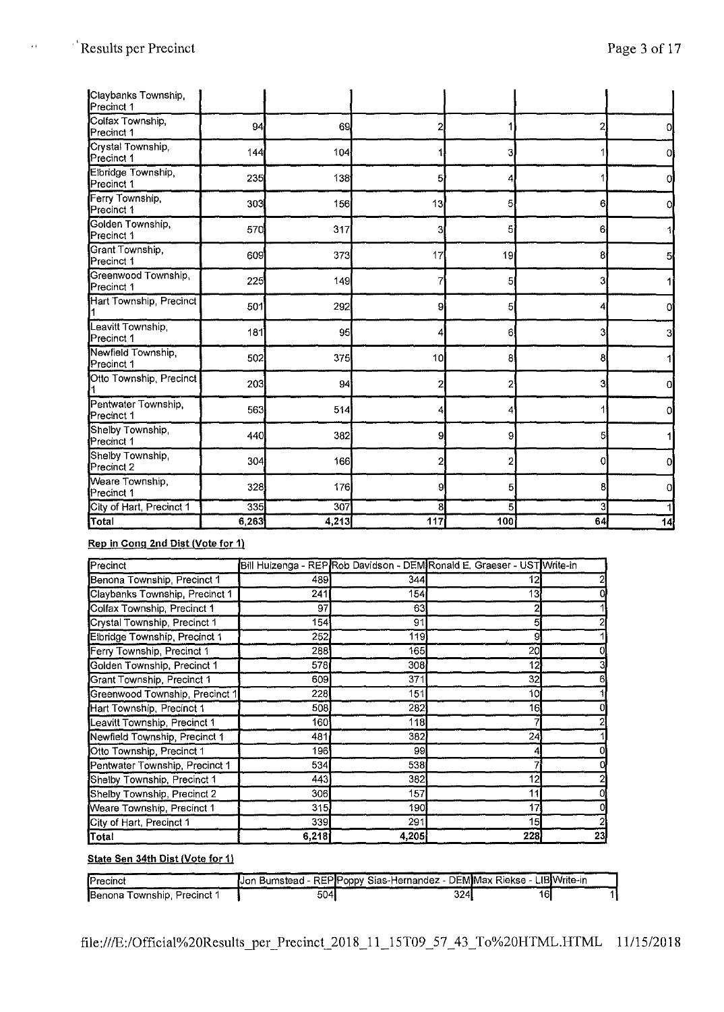$\epsilon$  i

| Claybanks Township,<br>Precinct 1 |       |       |     |     |    |    |
|-----------------------------------|-------|-------|-----|-----|----|----|
| Colfax Township,<br>Precinct 1    | 94    | 69    |     |     | 2  | 0l |
| Crystal Township,<br>Precinct 1   | 144   | 104   |     | 3.  |    | Οl |
| Elbridge Township,<br>Precinct 1  | 235   | 138   | 5   |     |    | Oi |
| Ferry Township,<br>Precinct 1     | 303   | 156   | 13  | 5   | 61 | O. |
| Golden Township,<br>Precinct 1    | 570   | 317   | 3   | 5   | 6. |    |
| Grant Township,<br>Precinct 1     | 609   | 373   | 17  | 19  | 81 | 5  |
| Greenwood Township,<br>Precinct 1 | 225   | 149   |     | 5   | 3  |    |
| Hart Township, Precinct           | 501   | 292   | 9   | 5   |    | Ol |
| Leavitt Township,<br>Precinct 1   | 181   | 95    | 4   | 6   | 3  |    |
| Newfield Township.<br>Precinct 1  | 502   | 375   | 10  | 8   | 81 |    |
| Otto Township, Precinct           | 203   | 94    | 2   | 2   | 31 | o  |
| Pentwater Township,<br>Precinct 1 | 563   | 514   |     | 4   |    | Οl |
| Shelby Township,<br>Precinct 1    | 440   | 382   | 9   | 9   | 5  |    |
| Shelby Township,<br>Precinct 2    | 304   | 166   | 2   | 2   | Ol | 0  |
| Weare Township,<br>Precinct 1     | 328   | 176   | 9   | 5   | 81 | Ωl |
| City of Hart, Precinct 1          | 335   | 307   | 8   | 5   | 3  |    |
| Total                             | 6,263 | 4,213 | 117 | 100 | 64 | 4  |

# **Rep in Cong 2nd Dist (Vote for 1)**

| <b>Precinct</b>                |       |       | Bill Huizenga - REP Rob Davidson - DEM Ronald E. Graeser - UST Write-in |    |
|--------------------------------|-------|-------|-------------------------------------------------------------------------|----|
| Benona Township, Precinct 1    | 4891  | 344   | 12                                                                      |    |
| Claybanks Township, Precinct 1 | 241   | 154   | 13                                                                      |    |
| Colfax Township, Precinct 1    | 97    | 63    |                                                                         |    |
| Crystal Township, Precinct 1   | 154   | 91    | 5                                                                       |    |
| Eibridge Township, Precinct 1  | 252   | 119   | 9                                                                       |    |
| Ferry Township, Precinct 1     | 288   | 165   | 20                                                                      |    |
| Golden Township, Precinct 1    | 578   | 308   | 12                                                                      |    |
| Grant Township, Precinct 1     | 609   | 371   | 32                                                                      |    |
| Greenwood Township, Precinct 1 | 228   | 151   | 10                                                                      |    |
| Hart Township, Precinct 1      | 508   | 282   | 16                                                                      |    |
| Leavitt Township, Precinct 1   | 160   | 118   |                                                                         |    |
| Newfield Township, Precinct 1  | 481   | 382   | 24                                                                      |    |
| Otto Township, Precinct 1      | 1961  | 99    | 4                                                                       |    |
| Pentwater Township, Precinct 1 | 534   | 538   |                                                                         |    |
| Shelby Township, Precinct 1    | 443   | 382   | 12                                                                      |    |
| Shelby Township, Precinct 2    | 306   | 157   | 11                                                                      |    |
| Weare Township, Precinct 1     | 315   | 190   | 17                                                                      |    |
| City of Hart, Precinct 1       | 339   | 291   | 15                                                                      |    |
| <b>Total</b>                   | 6,218 | 4,205 | 228                                                                     | 23 |

# **State Sen 34th Dist (Vote for 1)**

| <b>IPrecinct</b>            |      | Jon Bumstead - REP Poppy Sias-Hernandez - DEM Max Riekse - LIB Write-in |     |  |
|-----------------------------|------|-------------------------------------------------------------------------|-----|--|
| Benona Township, Precinct 1 | 504l | 324                                                                     | 16. |  |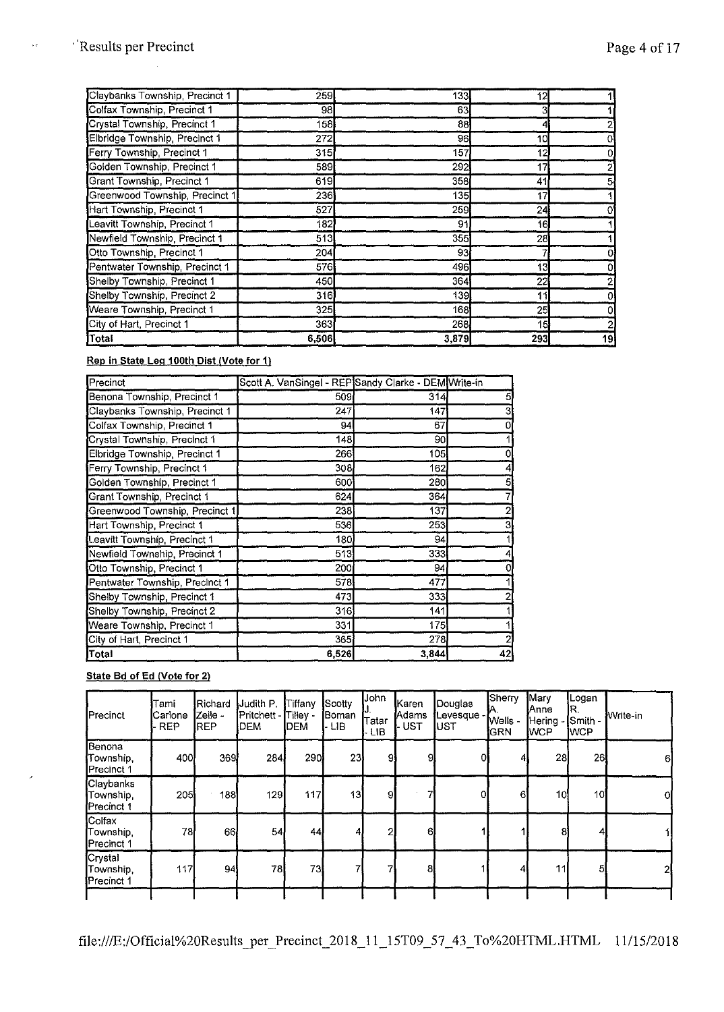$\bar{\nu}$  c

| Claybanks Township, Precinct 1 | 259I        | 133   | 12  |    |
|--------------------------------|-------------|-------|-----|----|
| Colfax Township, Precinct 1    | 98          | 63    | 31  |    |
| Crystal Township, Precinct 1   | 158         | 88    |     |    |
| Elbridge Township, Precinct 1  | 272         | 96    | 10  |    |
| Ferry Township, Precinct 1     | <b>315</b>  | 157   | 12  |    |
| Golden Township, Precinct 1    | 589         | 292   | 17  |    |
| Grant Township, Precinct 1     | 619         | 358   | 41  |    |
| Greenwood Township, Precinct 1 | 236         | 135   | 17  |    |
| Hart Township, Precinct 1      | 527         | 259   | 24  |    |
| Leavitt Township, Precinct 1   | 182         | 91    | 16  |    |
| Newfield Township, Precinct 1  | 513         | 355   | 28  |    |
| Otto Township, Precinct 1      | 204         | 93    |     |    |
| Pentwater Township, Precinct 1 | 576         | 496   | 13  |    |
| Shelby Township, Precinct 1    | 450         | 364   | 22  |    |
| Shelby Township, Precinct 2    | 316         | 139   | 11  |    |
| Weare Township, Precinct 1     | 325         | 168   | 25  |    |
| City of Hart, Precinct 1       | <b>3631</b> | 268   | 15  |    |
| Total                          | 6,506       | 3,879 | 293 | 19 |

**Rep in State Leg 100th Dist (Vote for 1)** 

| Precinct                       | Scott A. VanSingel - REP Sandy Clarke - DEM Write-in |       |    |
|--------------------------------|------------------------------------------------------|-------|----|
| Benona Township, Precinct 1    | 509                                                  | 314   |    |
| Claybanks Township, Precinct 1 | 247                                                  | 147   |    |
| Colfax Township, Precinct 1    | 94                                                   | 67    |    |
| Crystal Township, Precinct 1   | 148                                                  | 90    |    |
| Elbridge Township, Precinct 1  | 266                                                  | 105   |    |
| Ferry Township, Precinct 1     | 308l                                                 | 162   |    |
| Golden Township, Precinct 1    | 600                                                  | 280   |    |
| Grant Township, Precinct 1     | 624                                                  | 364   |    |
| Greenwood Township, Precinct 1 | 238                                                  | 137   |    |
| Hart Township, Precinct 1      | 536                                                  | 253   |    |
| Leavitt Township Precinct 1    | 180                                                  | 94    |    |
| Newfield Township, Precinct 1  | 513                                                  | 333   |    |
| Otto Township, Precinct 1      | 200                                                  | 94    |    |
| Pentwater Township, Precinct 1 | 578                                                  | 477   |    |
| Shelby Township, Precinct 1    | 473                                                  | 333   |    |
| Shelby Township, Precinct 2    | 316                                                  | 141   |    |
| Weare Township, Precinct 1     | 331                                                  | 175   |    |
| City of Hart, Precinct 1       | 365                                                  | 278   |    |
| Total                          | 6,526                                                | 3,844 | 42 |

# **State Bd of** Ed **(Vote for 2)**

| Precinct                            | Tami<br>Carlone<br><b>REP</b> | <b>Richard</b><br>Zeile -<br><b>I</b> REP | Judith P.<br>Pritchett -<br>DEM | Tiffany<br>Tilley -<br><b>I</b> DEM | Scotty<br><b>Boman</b><br>l-LIB. | John<br>Tatar<br><b>LIB</b> | Karen<br>Adams<br><b>UST</b> | Douglas<br>Levesque<br>UST | Sherry<br>И.<br>Wells -<br><b>IGRN</b> | Mary<br><b>Anne</b><br><b>Hering</b><br><b>WCP</b> | Logan<br>R.<br>Smith -<br>IWCP. | Write-in |
|-------------------------------------|-------------------------------|-------------------------------------------|---------------------------------|-------------------------------------|----------------------------------|-----------------------------|------------------------------|----------------------------|----------------------------------------|----------------------------------------------------|---------------------------------|----------|
| Benona<br>Township.<br>Precinct 1   | 400                           | 369                                       | 284                             | 290                                 | 23                               | 91                          | 9                            | $\overline{0}$             | 4                                      | 28                                                 | 26                              | 6        |
| Claybanks<br>Township<br>Precinct 1 | <b>205</b>                    | 188 <b>1</b>                              | 129                             | 117                                 | 13                               | -91                         |                              | οı                         | 61                                     | 10 <sub>1</sub>                                    | 10                              | 0l       |
| Colfax<br>Township<br>Precinct 1    | 78                            | 66                                        | 54                              | 44I                                 | 4.                               | 2                           | 61                           |                            |                                        | 8                                                  | 4                               |          |
| Crystal<br>Township.<br>Precinct 1  | 117                           | 94                                        | 78                              | 73                                  |                                  |                             | 81                           |                            | 41                                     | 11                                                 | 51                              | 21       |

file:///E:/Official%20Results \_per\_Precinct\_2018\_11\_15T09 \_57 \_ 43 \_ To%20HTML.HTML 11/15/2018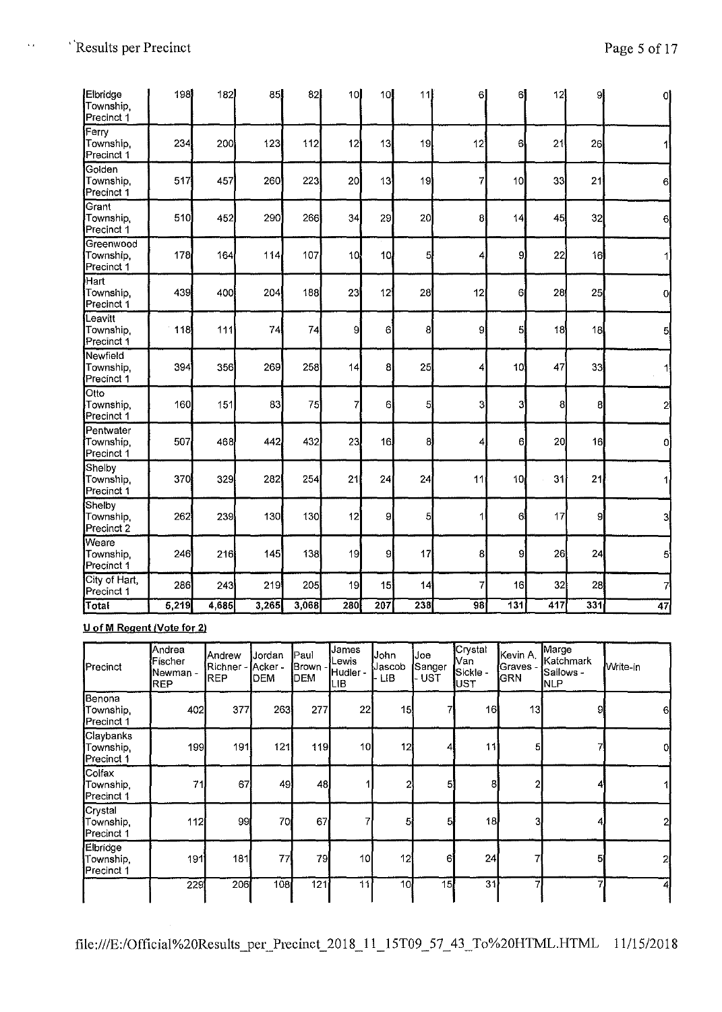$\bar{\mathcal{A}}$ 

| Elbridge<br>Township,<br>Precinct <sup>1</sup>      | 198   | 182   | 85    | 82    | 10              | 10 <sub>1</sub> | 11             | 6               | 6               | 12  | 9   | 0              |
|-----------------------------------------------------|-------|-------|-------|-------|-----------------|-----------------|----------------|-----------------|-----------------|-----|-----|----------------|
| Ferry<br>Township<br>Precinct 1                     | 234   | 200   | 123   | 112   | 12              | 13              | 19             | 12              | 6               | 21  | 26  |                |
| Golden<br>Township<br>Precinct 1                    | 517   | 457   | 260   | 223   | 20 <sup>1</sup> | 13              | 19             | 7               | 10 <sup>1</sup> | 33  | 21  | 6              |
| Grant<br>Township,<br>Precinct <sup>1</sup>         | 510   | 452   | 290   | 266   | 34              | 29              | 20             | 8               | 14              | 45  | 32  | 6              |
| Greenwood<br>Township,<br>Precinct 1                | 178   | 164   | 114   | 107   | 10              | 10              | 5              | 4               | 9               | 22  | 16  |                |
| $\overline{\text{Hart}}$<br>Township,<br>Precinct 1 | 439   | 400   | 204   | 188   | 23              | 12              | 28             | 12              | 61              | 28  | 25  | $\overline{0}$ |
| Leavitt<br>Township.<br>Precinct 1                  | 118   | 111   | 74    | 74    | 9               | 6               | 8              | 9               | 5               | 18  | 18  | 51             |
| Newfield<br>Township,<br>Precinct 1                 | 394   | 356   | 269   | 258   | 14              | 8               | 25             | 4               | 10              | 47  | 33  | 11             |
| Otto<br>Township,<br>Precinct 1                     | 160   | 151   | 83    | 75    | 7               | 6               | 5 <sup>1</sup> | 3               | 3               | 8   | 8   | 2              |
| Pentwater<br>Township.<br>Precinct 1                | 507   | 468   | 442   | 432   | 23              | 16              | 8              | 4               | 6               | 20  | 16  | 0l             |
| Shelby<br>Township,<br>Precinct <sup>1</sup>        | 370   | 329   | 282   | 254   | 21              | 24              | 24             | 11              | 10 <sub>1</sub> | 31  | 21  |                |
| Shelby<br>Township.<br>Precinct 2                   | 262   | 239   | 130   | 130   | 12              | 9               | 5              | 1               | 6               | 17  | gi  | 3              |
| Weare<br>Township<br>Precinct <sup>1</sup>          | 246   | 216   | 145   | 138   | 19              | 9               | 17             | 8               | 9               | 26  | 24  | 5              |
| City of Hart,<br>Precinct 1                         | 286   | 243   | 219   | 205   | 19              | 15              | 14             | 7               | 16              | 32  | 28  | 7              |
| Total                                               | 5,219 | 4,685 | 3.265 | 3,068 | 280             | 207             | 238            | $\overline{98}$ | 131             | 417 | 331 | 47             |

**U of M Regent /Vote for 2)** 

| Precinct                             | Andrea<br>Fischer<br>Newman -<br><b>REP</b> | Andrew<br>Richner - <b>I</b> Acker -<br>REP | <b>Jordan</b><br><b>DEM</b> | Paul<br>Brown -<br>DEM | James<br>Lewis<br>Hudler -<br>ЦB | John<br>Jascob<br><b>LIB</b> | Joe<br>Sanger]<br>UST <sub></sub> | Crystal<br>Van<br>Sickle -<br>UST | Kevin A.<br>Graves -<br><b>GRN</b> | Marge<br>lKatchmark<br><b>Sallows</b> -<br><b>NLP</b> | Write-in |
|--------------------------------------|---------------------------------------------|---------------------------------------------|-----------------------------|------------------------|----------------------------------|------------------------------|-----------------------------------|-----------------------------------|------------------------------------|-------------------------------------------------------|----------|
| Benona<br>Township,<br>Precinct 1    | 402                                         | 377                                         | 263                         | 277                    | 22                               | 15                           |                                   | 16                                | 13                                 | 9l                                                    | 61       |
| Claybanks<br>Township.<br>Precinct 1 | 199                                         | 191                                         | 121                         | 119                    | 10                               | 12                           | 4                                 | 11                                | 51                                 |                                                       | 0l       |
| Colfax<br>Township,<br>Precinct 1    | 71                                          | 67                                          | 49                          | 48                     |                                  |                              | 51                                | 81                                | 2                                  |                                                       |          |
| Crystal<br>Township,<br>Precinct 1   | 112                                         | 99                                          | 70                          | 67                     | 7                                | 5 <sub>1</sub>               | 5                                 | 18                                | 31                                 |                                                       |          |
| Elbridge<br>Township,<br>Precinct 1  | 191                                         | 181                                         | 77                          | 79                     | 10                               | 12                           | 61                                | 24                                |                                    | 51                                                    | 21       |
|                                      | 229                                         | 206                                         | 108                         | 121                    | 111                              | 10 <sub>1</sub>              | 15                                | 31                                | 7                                  |                                                       |          |

file:///E:/Official%20Results\_per\_Precinct\_2018\_ 11 \_15T09 \_57 \_ 43\_To%20HTML.HTML 11/15/2018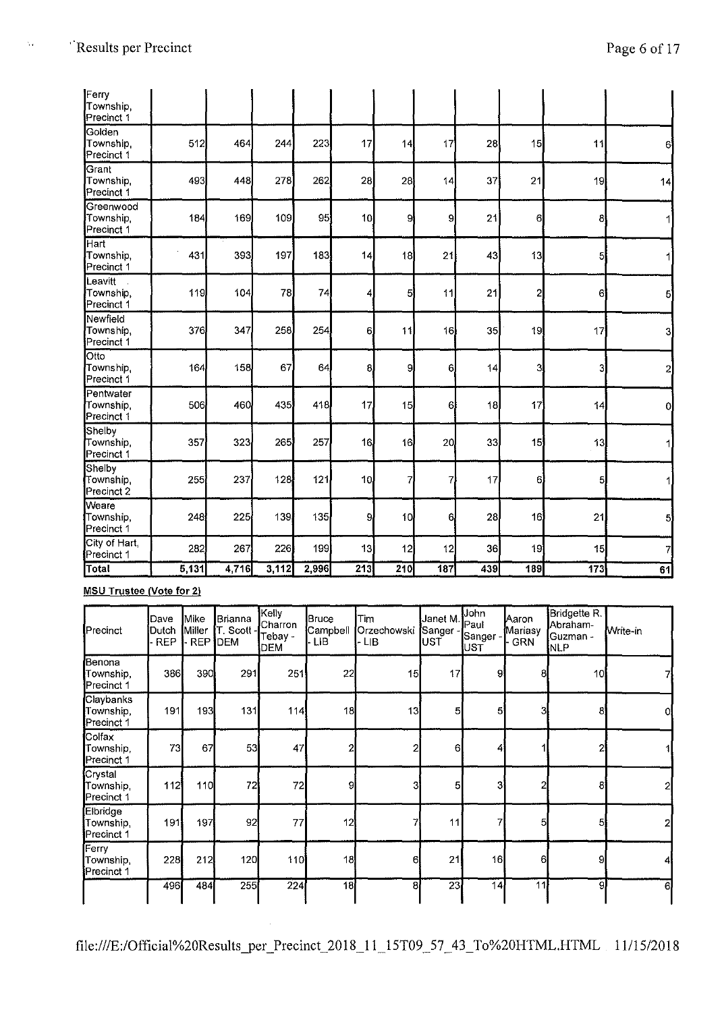$\zeta_t$ 

| Ferry<br>Township,<br>Precinct 1     |     |     |     |     |    |    |                |    |                         |    |     |
|--------------------------------------|-----|-----|-----|-----|----|----|----------------|----|-------------------------|----|-----|
| Golden<br>Township.<br>Precinct 1    | 512 | 464 | 244 | 223 | 17 | 14 | 17             | 28 | 15                      | 11 | 61  |
| Grant<br>Township.<br>Precinct 1     | 493 | 448 | 278 | 262 | 28 | 28 | 14             | 37 | 21                      | 19 | 14  |
| Greenwood<br>Township.<br>Precinct 1 | 184 | 169 | 109 | 95  | 10 | 9  | 9              | 21 | 6                       | 8  |     |
| Hart<br>Township,<br>Precinct 1      | 431 | 393 | 197 | 183 | 14 | 18 | 21             | 43 | 13                      | 5  |     |
| Leavitt<br>Township,<br>Precinct 1   | 119 | 104 | 78  | 74  | 4  | 5  | 11             | 21 | $\overline{\mathbf{c}}$ | 6  | -51 |
| Newfield<br>Township,<br>Precinct 1  | 376 | 347 | 258 | 254 | 6. | 11 | 16             | 35 | 19                      | 17 | 3   |
| Otto<br>Township.<br>Precinct 1      | 164 | 158 | 67  | 64  | 8  | 9  | 6              | 14 | 3                       | 3  | 2   |
| Pentwater<br>Township.<br>Precinct 1 | 506 | 460 | 435 | 418 | 17 | 15 | 6              | 18 | 17                      | 14 | ol  |
| Shelby<br>Township<br>Precinct 1     | 357 | 323 | 265 | 257 | 16 | 16 | 20             | 33 | 15                      | 13 |     |
| Shelby<br>Township.<br>Precinct 2    | 255 | 237 | 128 | 121 | 10 | 7. | 7.             | 17 | 6.                      | 5  |     |
| Weare<br>Township.                   | 248 | 225 | 139 | 135 | 9  | 10 | 6 <sub>l</sub> | 28 | 16                      | 21 | 5   |

# **MSU Trustee (Vote for 21**

**Precinct 1** 

| Precinct                                        | Dave<br>Dutch<br><b>REP</b> | Mike<br>Miller<br><b>REP</b> | Brianna<br><b>∫T. Scott</b> - <sup>i</sup><br>DEM | Kelly<br>Charron<br>Tebay -<br>DEM | Bruce<br>Campbell<br>· LIB | Tim<br>Orzechowski<br>- LIB | Janet M. Paul<br><b>S</b> anger<br>UST | Uohn<br>Sanger -<br><b>IUST</b> | Aaron<br>Mariasy<br><b>GRN</b> | Bridgette R<br>Abraham-<br>Guzman -<br><b>NLP</b> | Write-in |
|-------------------------------------------------|-----------------------------|------------------------------|---------------------------------------------------|------------------------------------|----------------------------|-----------------------------|----------------------------------------|---------------------------------|--------------------------------|---------------------------------------------------|----------|
| Benona<br>Township,<br>Precinct 1               | 386                         | 390                          | 291                                               | 251                                | 22                         | 15                          | 17                                     | 9                               | 8                              | 10 <sub>l</sub>                                   |          |
| Claybanks<br>Township,<br>Precinct 1            | 191                         | 193                          | 131                                               | 114                                | 18                         | 13                          | 5                                      | 5                               | 3                              | 8                                                 |          |
| <b>Colfax</b><br>Township,<br><b>Precinct 1</b> | 73                          | 67                           | 53                                                | 47                                 | $\overline{2}$             | 2                           | $6 \mid$                               | 4                               |                                |                                                   |          |
| Crystal<br>Township.<br>Precinct 1              | 112                         | 110                          | 72                                                | 72                                 | -91                        | 31                          | 5                                      | 3                               | 2                              | 81                                                |          |
| Elbridge<br>Township.<br>Precinct 1             | 191                         | 197                          | 92                                                | 77                                 | 12                         | 7                           | 11                                     | 7                               | 5                              | 51                                                |          |
| Ferry<br>Township,<br>Precinct 1                | 228                         | 212                          | 120                                               | 110                                | 18                         | 61                          | 21                                     | 16                              | 6                              | 91                                                |          |
|                                                 | 496 <b>1</b>                | 484                          | 255                                               | 224                                | 18                         | 81                          | 23                                     | 14                              | 11                             | 9                                                 | 6.       |

City of Hart, | 282 267 226 199 13 12 12 36 19 19 15 7<br>Precinct 1 282 267 226 199 13 12 12 36 19 19 15 **Total 5,131 4,716 3,112 2,996 213 210 187 439 189 173 61**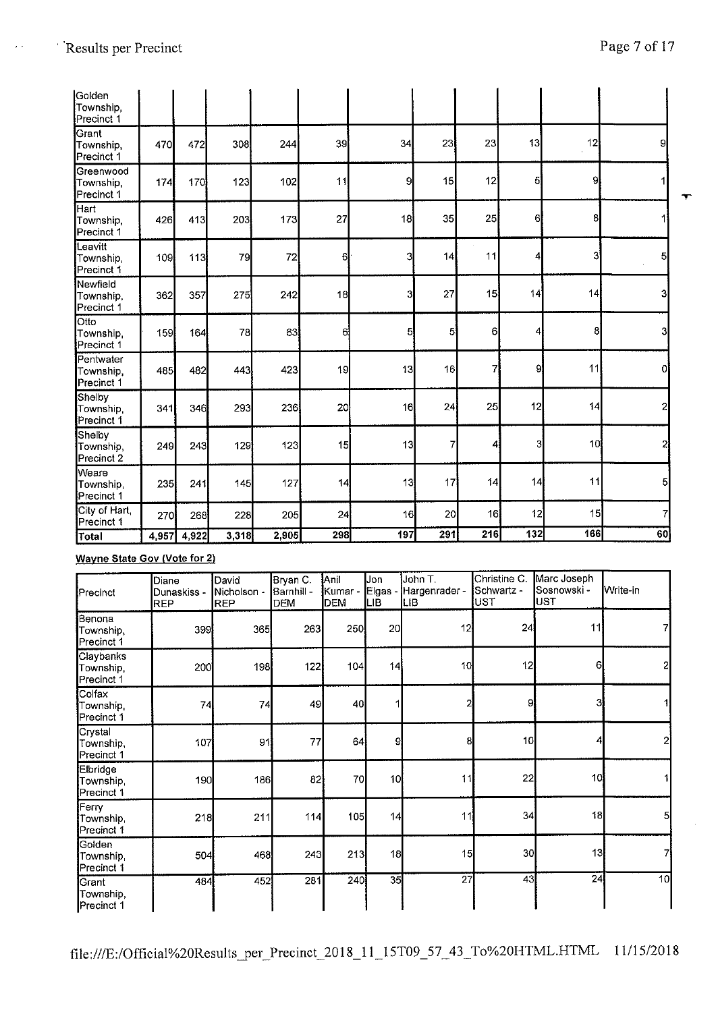$\hat{\mathcal{E}}$  .

| Golden<br>Township,<br>Precinct 1    |       |       |       |       |                 |     |                |     |                |     |     |   |
|--------------------------------------|-------|-------|-------|-------|-----------------|-----|----------------|-----|----------------|-----|-----|---|
| Grant<br>Township,<br>Precinct 1     | 470   | 472   | 308   | 244   | 39              | 34  | 23             | 23  | 13             | 12  | 9   |   |
| Greenwood<br>Township<br>Precinct 1  | 174   | 170   | 123   | 102   | 11              | 9   | 15             | 12  | 5              | 9   |     | ٦ |
| Hart<br>Township,<br>Precinct 1      | 426   | 413   | 203   | 173   | 27              | 18  | 35             | 25  | 6              | 8   |     |   |
| Leavitt<br>Township,<br>Precinct 1   | 109   | 113   | 79    | 72    | 6               | 3   | 14             | 11  | 4              | 3   | 5   |   |
| Newfield<br>Township,<br>Precinct 1  | 362   | 357   | 275   | 242   | 18              | 3   | 27             | 15  | 14             | 14  | 3   |   |
| Otto<br>Township.<br>Precinct 1      | 159   | 164   | 78    | 63    | 6               | 5   | $\overline{5}$ | 6   | $\overline{4}$ | 8   | 3   |   |
| Pentwater<br>Township,<br>Precinct 1 | 485   | 482   | 443   | 423   | 19              | 13  | 16             | 7   | 9              | 11  | Οl  |   |
| Shelby<br>Township.<br>Precinct 1    | 341   | 346   | 293   | 230   | 20 <sub>1</sub> | 16  | 24             | 25  | 12             | 14  | 2   |   |
| Shelby<br>Township,<br>Precinct 2    | 249   | 243   | 129   | 123   | 15              | 13  | 7              | 4   | 3              | 10  | 2   |   |
| Weare<br>Township,<br>Precinct 1     | 235   | 241   | 145   | 127   | 14              | 13  | 17             | 4   | 14             | 11  | 5   |   |
| City of Hart<br>Precinct 1           | 270   | 268   | 228   | 205   | 24              | 16  | 20             | 16  | 12             | 15  | 7   |   |
| Total                                | 4,957 | 4,922 | 3,318 | 2,905 | 298             | 197 | 291            | 216 | 132            | 166 | 60] |   |

# **Wayne State Gov (Vote for 2)**

| Precinct                                | Diane<br>Dunaskiss -<br><b>REP</b> | David<br><b>I</b> Nicholson -<br><b>REP</b> | Bryan C.<br> Barnhill -<br><b>DEM</b> | Anil<br>Kumar -<br><b>DEM</b> | Jon<br>Elgas<br>LІB | lJohn T.<br>Hargenrader -<br> LIB | Christine C.<br>Schwartz -<br>lust | Marc Joseph<br> Sosnowski -<br>lust | <b>Write-in</b> |
|-----------------------------------------|------------------------------------|---------------------------------------------|---------------------------------------|-------------------------------|---------------------|-----------------------------------|------------------------------------|-------------------------------------|-----------------|
| Benona<br>Township,<br>Precinct 1       | 399                                | 365                                         | 263                                   | 250                           | 20                  | 12 <sup>1</sup>                   | 24                                 | 11                                  |                 |
| Claybanks<br>Township,<br>Precinct 1    | 200                                | 198                                         | 122                                   | 104                           | 14                  | 10                                | 12                                 | 6                                   | 2               |
| Colfax<br>Township,<br>Precinct 1       | 74                                 | 74                                          | 49                                    | 40                            |                     | 2                                 | 9                                  | 31                                  |                 |
| Crystal<br>Township,<br>Precinct 1      | 107                                | 91                                          | 77                                    | 64                            | 9                   | 8                                 | 10 <sub>1</sub>                    |                                     |                 |
| Elbridge<br>Township,<br>Precinct 1     | 190                                | 186                                         | 82                                    | 70                            | 1이                  | 11                                | 22                                 | 10                                  |                 |
| <b>Ferry</b><br>Township,<br>Precinct 1 | 218                                | 211                                         | 114                                   | 105                           | 14                  | 11                                | 34                                 | 18                                  | 5               |
| Golden<br>Township,<br>Precinct 1       | 504                                | 468                                         | 243                                   | 213                           | 18                  | 15                                | 30                                 | 13                                  | 7               |
| Grant<br>Township,<br>Precinct 1        | 484                                | 452                                         | 281                                   | 240                           | 35                  | 27                                | 43                                 | 24                                  | 10              |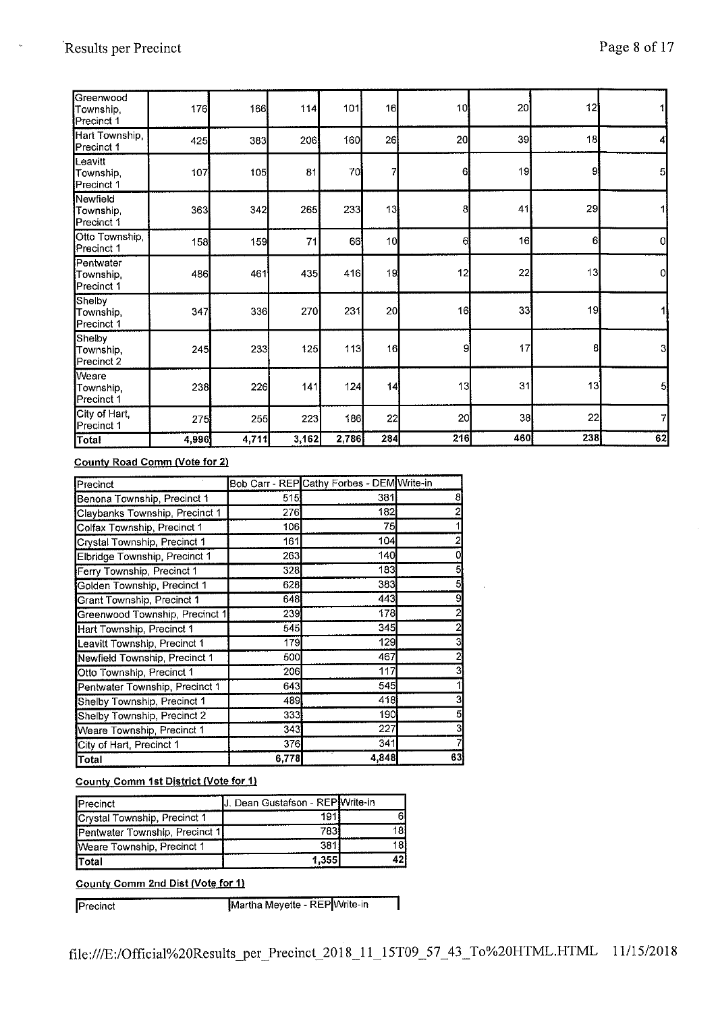| Greenwood<br>Township,<br>Precinct 1 | 176   | 166   | 114   | 101   | 16              | 10 <sub>l</sub> | 20  | 12  |                |
|--------------------------------------|-------|-------|-------|-------|-----------------|-----------------|-----|-----|----------------|
| Hart Township,<br>Precinct 1         | 425   | 383   | 206   | 160   | 26              | 20              | 39  | 18  | 4              |
| Leavitt<br>Township,<br>Precinct 1   | 107   | 105   | 81    | 70    | 7               | 6               | 19  | 9   | 5              |
| Newfield<br>Township,<br>Precinct 1  | 363   | 342   | 265   | 233   | 13              | 8               | 41  | 29  |                |
| Otto Township,<br>Precinct 1         | 158   | 159   | 71    | 66    | 10 <sub>l</sub> | 6               | 16  | 6   | $\overline{0}$ |
| Pentwater<br>Township.<br>Precinct 1 | 486   | 461   | 435   | 416   | 19              | 12              | 22  | 13  | 0              |
| Shelby<br>Township.<br>Precinct 1    | 347   | 336   | 270   | 231   | 20              | 16              | 33  | 19  |                |
| Shelby<br>Township,<br>Precinct 2    | 245   | 233   | 125   | 113   | 16              | 9               | 17  | 8   | 3              |
| Weare<br>Township,<br>Precinct 1     | 238   | 226   | 141   | 124   | 4               | 13              | 31  | 13  | 5              |
| City of Hart,<br>Precinct 1          | 275   | 255   | 223   | 186   | 22              | 20              | 38  | 22  | 7              |
| Total                                | 4,996 | 4,711 | 3,162 | 2,786 | 284             | 216             | 460 | 238 | 62             |

### **County Road Comm {Vote for 2)**

| Precinct                       |            | Bob Carr - REP Cathy Forbes - DEM Write-in |    |
|--------------------------------|------------|--------------------------------------------|----|
| Benona Township, Precinct 1    | 515        | 381                                        | 8  |
| Claybanks Township, Precinct 1 | 276        | 182                                        |    |
| Colfax Township, Precinct 1    | 106        | 75                                         |    |
| Crystal Township, Precinct 1   | 161        | 104                                        |    |
| Elbridge Township, Precinct 1  | 263        | 140                                        |    |
| Ferry Township, Precinct 1     | 328        | 183                                        | 5  |
| Golden Township, Precinct 1    | 628        | 383                                        | 5  |
| Grant Township, Precinct 1     | 648        | 443                                        | 9  |
| Greenwood Township, Precinct 1 | 239        | 178                                        |    |
| Hart Township, Precinct 1      | 545        | 345                                        |    |
| Leavitt Township, Precinct 1   | 179        | 129                                        | 3  |
| Newfield Township, Precinct 1  | <b>500</b> | 467                                        |    |
| Otto Township, Precinct 1      | 206        | 117                                        | 3  |
| Pentwater Township, Precinct 1 | 643        | 545                                        |    |
| Shelby Township, Precinct 1    | 489        | 418                                        | 3  |
| Shelby Township, Precinct 2    | 333        | 190                                        | 5  |
| Weare Township, Precinct 1     | 343        | 227                                        |    |
| City of Hart, Precinct 1       | 376        | 341                                        |    |
| Total                          | 6,778      | 4,848                                      | 63 |

# **County Comm 1st District {Vote for 1)**

| Precinct                       | J. Dean Gustafson - REP Write-in |       |
|--------------------------------|----------------------------------|-------|
| Crystal Township, Precinct 1   | 191                              |       |
| Pentwater Township, Precinct 1 | 783                              |       |
| Weare Township, Precinct 1     | 381                              | 1 R I |
| <b>ITotal</b>                  | 1.355                            |       |

**County Comm 2nd Dist (Vote for 1)** 

Precinct **Martha Meyette - REP**Write-in

٦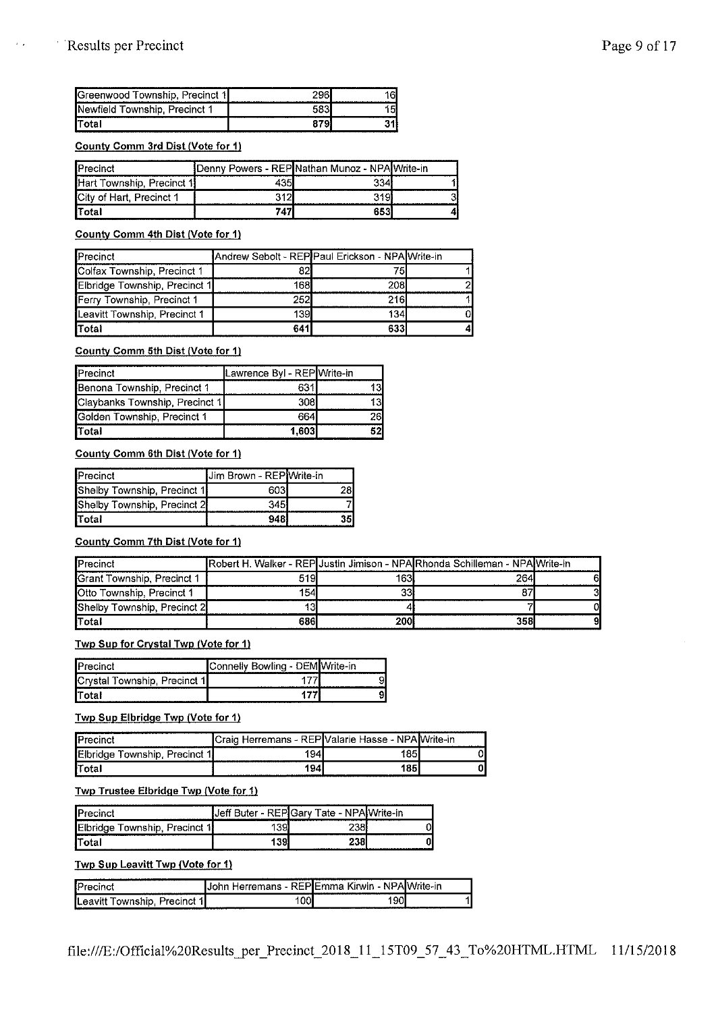$\epsilon$  .

| <b>S</b> Greenwood Township, Precinct 1 |  |
|-----------------------------------------|--|
| Newfield Township, Precinct 1           |  |
|                                         |  |

#### **County Comm 3rd Dist (Vote for 1)**

| <b>Precinct</b>           | Denny Powers - REPINathan Munoz - NPAIWrite-in |      |  |
|---------------------------|------------------------------------------------|------|--|
| Hart Township, Precinct 1 |                                                | 334  |  |
| City of Hart, Precinct 1  |                                                | 3191 |  |
| <b>ITotal</b>             | 747                                            | 65.3 |  |

#### **County Comm 4th Dist (Vote for 1)**

| Precinct                      | Andrew Sebolt - REP Paul Erickson - NPA Write-in |     |  |
|-------------------------------|--------------------------------------------------|-----|--|
| Colfax Township, Precinct 1   | 82                                               |     |  |
| Elbridge Township, Precinct 1 | 1681                                             | 208 |  |
| Ferry Township, Precinct 1    | 252                                              | 216 |  |
| Leavitt Township, Precinct 1  | 139I                                             | 134 |  |
| Total                         | 641                                              | 633 |  |

#### **County Comm 5th Dist (Vote for 1)**

| Precinct                       | Lawrence Byl - REP Write-in |    |
|--------------------------------|-----------------------------|----|
| Benona Township, Precinct 1    | 631                         |    |
| Claybanks Township, Precinct 1 | 308l                        |    |
| Golden Township, Precinct 1    | 664                         | הי |
| <b>Total</b>                   | 1.603                       |    |

# **County Comm 6th Dist (Vote for 1)**

| Precinct                    | Jim Brown - REP Write-in |  |
|-----------------------------|--------------------------|--|
| Shelby Township, Precinct 1 | 603                      |  |
| Shelby Township, Precinct 2 | 345                      |  |
| Total                       | 948                      |  |

# **County Comm 7th Dist (Vote for 1)**

| Precinct                    |     |             | Robert H. Walker - REP Justin Jimison - NPA Rhonda Schilleman - NPA Write-in |  |
|-----------------------------|-----|-------------|------------------------------------------------------------------------------|--|
| Grant Township, Precinct 1  | 519 | 163I        | 264                                                                          |  |
| Otto Township, Precinct 1   | 154 |             |                                                                              |  |
| Shelby Township, Precinct 2 |     |             |                                                                              |  |
| <b>ITotal</b>               | 686 | <b>2001</b> | 358                                                                          |  |

#### **Twp Sup for Crystal Twp (Vote for 1)**

| Precinct                     | Connelly Bowling - DEM Write-in |  |
|------------------------------|---------------------------------|--|
| Crystal Township, Precinct 1 |                                 |  |
| lTotal                       |                                 |  |

# **Twp Sup Elbridge Twp {Vote for 1)**

|                                    | ICraio. | Herremans - REP Valarie Hasse - NPA Write-in |   |
|------------------------------------|---------|----------------------------------------------|---|
| Elbridge<br>≇ Township, Precinct 1 | 94      | 1851                                         |   |
| <b>Total</b>                       | 1941    | 1851                                         | n |

#### **Twp Trustee Elbridge Twp {Vote for 1)**

| Precinct                            | - REPICary<br>.Jef<br>uter | Tate -                                                                                                                      | rite-in- |
|-------------------------------------|----------------------------|-----------------------------------------------------------------------------------------------------------------------------|----------|
| Elbridge<br>Precinct 1<br>Township, | 39                         | ววม                                                                                                                         |          |
| lTotal                              | 139                        | 238l<br>the second contract of the second second to the second second to the second second to the second second to the<br>. |          |

#### **Twp Sup Leavitt Twp {Vote for 1)**

| <br>ļΡ                                                   | .<br>∡∈D' i                                                                                                                | ---<br>Kirwin - NP<br>___ | ite-in  |
|----------------------------------------------------------|----------------------------------------------------------------------------------------------------------------------------|---------------------------|---------|
| <b>SAMP</b><br>lLea <sup>,</sup><br>שור<br>rer<br>. נוגר | . .<br>and the contract of the contract of the contract of the contract of the contract of the contract of the contract of | .90L                      | _______ |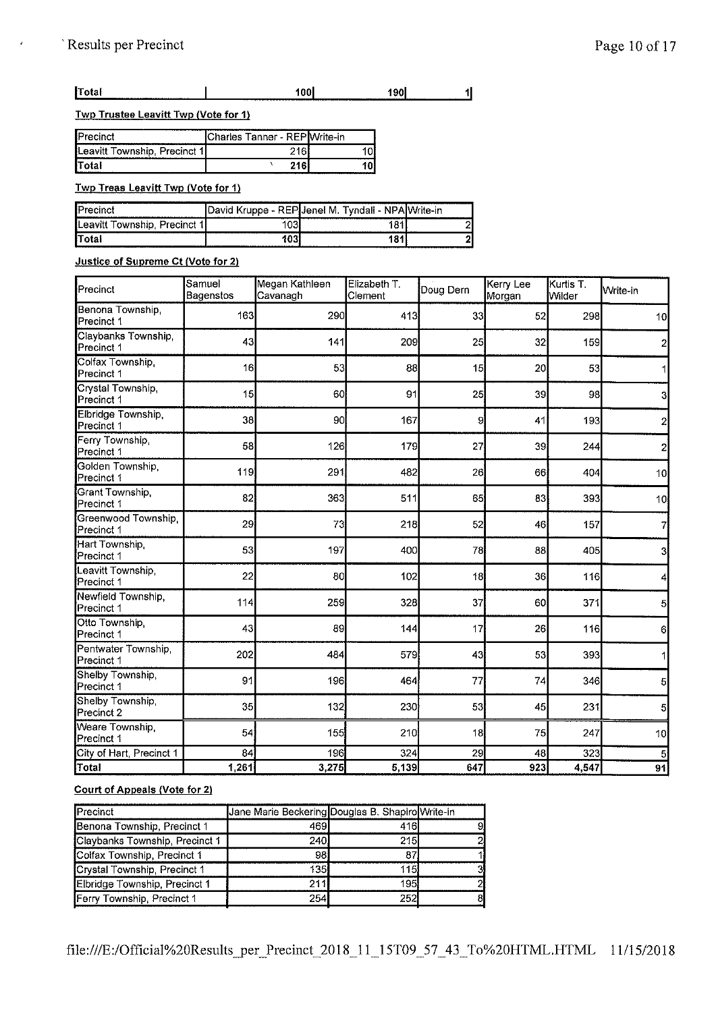#### $\overline{1}$ jTotal 1001 **1901**

**Twp Trustee Leavitt Twp {Vote for 1}** 

| Precinct                                                | Charles Tanner - REP Write-in |  |
|---------------------------------------------------------|-------------------------------|--|
| Leavitt Township, Precinct 1<br>----------------------- |                               |  |
| <b>ITotal</b>                                           | 71C                           |  |

**Twp Treas Leavitt Twp (Vote for 1)** 

|                               | David Kruppe - REPIJenel M. Tyndall - NPA Write-in |  |
|-------------------------------|----------------------------------------------------|--|
| Leavitt Township, Precinct 1' | .                                                  |  |
| Total                         |                                                    |  |

# **Justice of Supreme Ct (Vote for 2)**

| Precinct                          | Samuel<br>Bagenstos | Megan Kathleen<br>Cavanagh | Elizabeth T.<br>Clement | Doug Dern | Kerry Lee<br>Morgan | Kurtis T.<br>Wilder | Write-in        |
|-----------------------------------|---------------------|----------------------------|-------------------------|-----------|---------------------|---------------------|-----------------|
| Benona Township,<br>Precinct 1    | 163                 | 290                        | 413                     | 33        | 52                  | 298                 | 10              |
| Claybanks Township,<br>Precinct 1 | 43                  | 141                        | 209                     | 25        | 32                  | 159                 | 2               |
| Colfax Township<br>Precinct 1     | 16                  | 53                         | 88                      | 15        | 20                  | 53                  |                 |
| Crystal Township,<br>Precinct 1   | 15                  | 60                         | 91                      | 25        | 39                  | 98                  | 3               |
| Elbridge Township,<br>Precinct 1  | 38                  | 90                         | 167                     | 9         | 41                  | 193                 | $\overline{c}$  |
| Ferry Township,<br>Precinct 1     | 58                  | 126                        | 179                     | 27        | 39                  | 244                 | $\mathbf{z}$    |
| Golden Township,<br>Precinct 1    | 119                 | 291                        | 482                     | 26        | 66                  | 404                 | 10              |
| Grant Township,<br>Precinct 1     | 82                  | 363                        | 511                     | 65        | 83                  | 393                 | 10 <sub>1</sub> |
| Greenwood Township.<br>Precinct 1 | 29                  | 73                         | 218                     | 52        | 46                  | 157                 | 7               |
| Hart Township<br>Precinct 1       | 53                  | 197                        | 400                     | 78        | 88                  | 405                 | 3               |
| Leavitt Township<br>Precinct 1    | 22                  | 80                         | 102                     | 18        | 36                  | 116                 | 4               |
| Newfield Township,<br>Precinct 1  | 114                 | 259                        | 328                     | 37        | 60                  | 371                 | 5               |
| Otto Township<br>Precinct 1       | 43                  | 89                         | 144                     | 17        | 26                  | 116                 | 6               |
| Pentwater Township,<br>Precinct 1 | 202                 | 484                        | 579                     | 43        | 53                  | 393                 |                 |
| Shelby Township,<br>Precinct 1    | 91                  | 196                        | 464                     | 77        | 74                  | 346                 | 5               |
| Shelby Township,<br>Precinct 2    | 35                  | 132                        | 230                     | 53        | 45                  | 231                 | 5               |
| Weare Township.<br>Precinct 1     | 54                  | 155                        | 210                     | 18        | 75                  | 247                 | 10              |
| City of Hart, Precinct 1          | 84                  | 196                        | 324                     | 29        | 48                  | 323                 |                 |
| Total                             | 1,261               | 3,275                      | 5,139                   | 647       | 923                 | 4,547               | 91              |

# **Court of Appeals (Vote for 2)**

| <b>IPrecinct</b>               | Jane Marie Beckering Douglas B. Shapiro Write-in |     |  |
|--------------------------------|--------------------------------------------------|-----|--|
| Benona Township, Precinct 1    | 469                                              | 416 |  |
| Claybanks Township, Precinct 1 | 240.                                             | 215 |  |
| Colfax Township, Precinct 1    | 98                                               |     |  |
| Crystal Township, Precinct 1   | 135                                              | 115 |  |
| Elbridge Township, Precinct 1  | 211                                              | 195 |  |
| Ferry Township, Precinct 1     | 254                                              | 252 |  |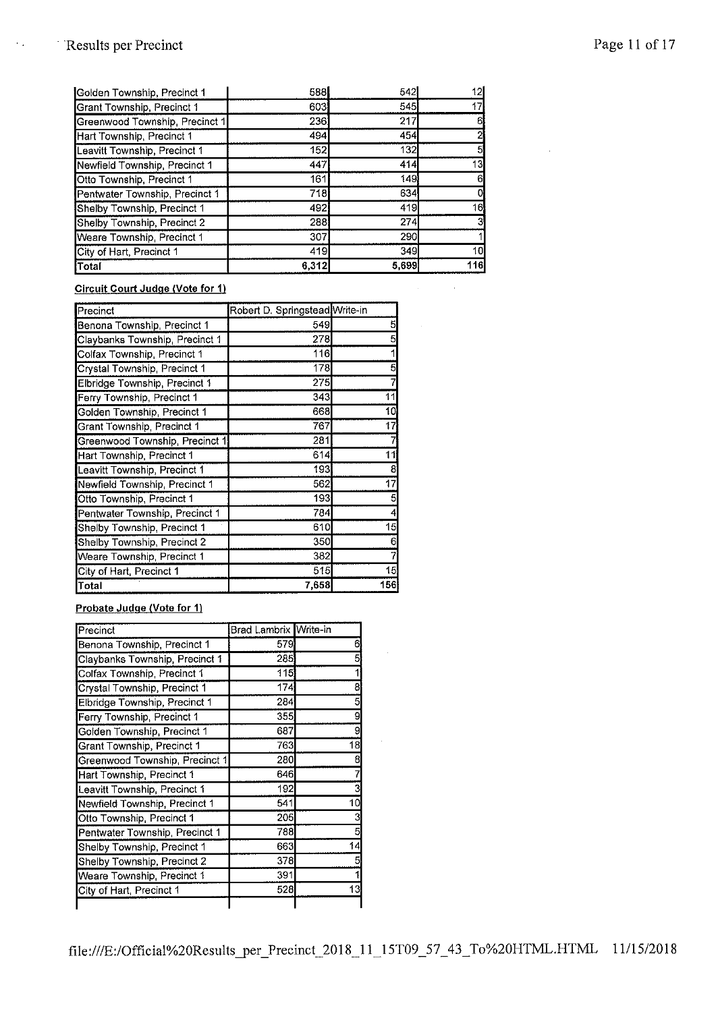$\epsilon_{\rm B}$ 

| <b>Total</b>                   | 6,312 | 5,699 | 116 |
|--------------------------------|-------|-------|-----|
| City of Hart, Precinct 1       | 419   | 349   | 10  |
| Weare Township, Precinct 1     | 307   | 290   |     |
| Shelby Township, Precinct 2    | 288   | 274   |     |
| Shelby Township, Precinct 1    | 492   | 419   | 16  |
| Pentwater Township, Precinct 1 | 718   | 634   |     |
| Otto Township, Precinct 1      | 161   | 149   |     |
| Newfield Township, Precinct 1  | 447   | 414   | 13  |
| Leavitt Township, Precinct 1   | 152   | 132   | 5   |
| Hart Township, Precinct 1      | 494   | 454   |     |
| Greenwood Township, Precinct 1 | 236   | 217   | 61  |
| Grant Township, Precinct 1     | 603   | 545   | 17  |
| Golden Township, Precinct 1    | 588   | 542   | 12  |

# **Circuit Court Judge (Vote for 1)**

| Precinct                       | Robert D. Springstead Write-in |      |
|--------------------------------|--------------------------------|------|
| Benona Township, Precinct 1    | 549                            | 5    |
| Claybanks Township, Precinct 1 | 278                            | 5    |
| Colfax Township, Precinct 1    | 116                            |      |
| Crystal Township, Precinct 1   | 178                            | 5    |
| Elbridge Township, Precinct 1  | 275                            |      |
| Ferry Township, Precinct 1     | 343                            | 11   |
| Golden Township, Precinct 1    | 668                            | 10   |
| Grant Township, Precinct 1     | 767                            | 17   |
| Greenwood Township, Precinct 1 | 281                            |      |
| Hart Township, Precinct 1      | 614                            | 11   |
| Leavitt Township, Precinct 1   | 193                            | 8    |
| Newfield Township, Precinct 1  | 562                            | 17   |
| Otto Township, Precinct 1      | 193                            | 5    |
| Pentwater Township, Precinct 1 | 784                            | 4    |
| Shelby Township, Precinct 1    | 610                            | 15   |
| Shelby Township, Precinct 2    | 350                            | 6    |
| Weare Township, Precinct 1     | 382                            |      |
| City of Hart, Precinct 1       | 515                            | 15   |
| Total                          | 7,658                          | 1561 |

# **Probate Judge (Vote for 1)**

| Precinct                       | Brad Lambrix <b>I</b> Write-in |    |
|--------------------------------|--------------------------------|----|
| Benona Township, Precinct 1    | 579                            | 6  |
| Claybanks Township, Precinct 1 | 285                            |    |
| Colfax Township, Precinct 1    | 115                            |    |
| Crystal Township, Precinct 1   | 174                            | 8  |
| Elbridge Township, Precinct 1  | 284                            | 5  |
| Ferry Township, Precinct 1     | 355                            | 9  |
| Golden Township, Precinct 1    | 687                            | g  |
| Grant Township, Precinct 1     | 763                            | 18 |
| Greenwood Township, Precinct 1 | 280                            | 8  |
| Hart Township, Precinct 1      | 646                            |    |
| Leavitt Township, Precinct 1   | 192                            |    |
| Newfield Township, Precinct 1  | 541                            | 10 |
| Otto Township, Precinct 1      | 205                            |    |
| Pentwater Township, Precinct 1 | 788                            |    |
| Shelby Township, Precinct 1    | 663                            | 14 |
| Shelby Township, Precinct 2    | 378                            |    |
| Weare Township, Precinct 1     | 391                            |    |
| City of Hart, Precinct 1       | 528                            | 13 |
|                                |                                |    |

 $\sim 10^{-10}$ 

 $\Delta \phi = 0.000$  and  $\phi = 0.000$ 

 $\sim$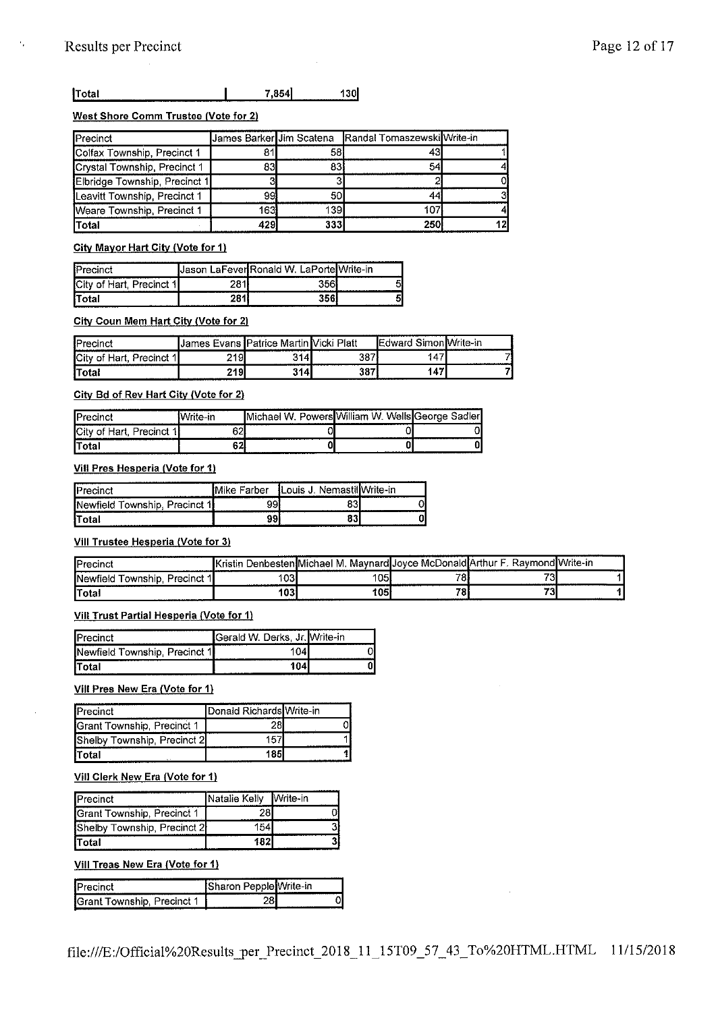# **<u>17otal 130</u>**

# **West Shore Comm Trustee (Vote for 2)**

| Precinct                      | James Barker Jim Scatena |     | Randal Tomaszewski Write-in |    |
|-------------------------------|--------------------------|-----|-----------------------------|----|
| Colfax Township, Precinct 1   | 81                       | 58  | 43.                         |    |
| Crystal Township, Precinct 1  | 83                       | 83  | 54                          |    |
| Elbridge Township, Precinct 1 | 3                        |     |                             |    |
| Leavitt Township, Precinct 1  | 99                       | 50  | 44                          |    |
| Weare Township, Precinct 1    | 163i                     | 139 | 107                         |    |
| <b>Total</b>                  | 429                      | 333 | <b>250l</b>                 | 12 |

# City Mayor Hart City {Vote for 1)

|                           | IJason LaFeveriRonald W. LaPortelWrite-in |      |
|---------------------------|-------------------------------------------|------|
| Юï<br>t Hart, Precinct 1∣ |                                           |      |
| lTotal                    | $-0.503$                                  | <br> |

# **City Coun Mem Hart City {Vote for 2)**

| Precinct         | <b>Hyane</b><br>.James | ⊿ Mart' .<br><b>Patrice</b> | Platt<br>' inter | <b>CONTRACT</b><br>-<br>ь. | IVvrite-in |
|------------------|------------------------|-----------------------------|------------------|----------------------------|------------|
| lCit<br>Precinct | 219                    | 3141                        | 387              | 147'                       | مسر        |
| "Total           | 219                    | 314I                        | 387<br>--------- | 147                        |            |

# **City Bd of Rev Hart City (Vote for 2)**

| ------------------------<br>Ic |                | _______________________________<br>л.<br>$"$ " $or$ " | - MAfilliam vv<br>عالصاها | aaler<br>-------- |
|--------------------------------|----------------|-------------------------------------------------------|---------------------------|-------------------|
| <br>---                        | enl<br>ו∠ס<br> |                                                       |                           |                   |
| $T$ otal                       | o n<br>ᅆ<br>   | ------------------                                    | --------<br>              |                   |

# **Viii Pres Hesperia (Vote for 1)**

| <b>I</b> Prec<br>omot                     | Farber | Nemast<br>.ouis<br> | .<br>e-in |
|-------------------------------------------|--------|---------------------|-----------|
| <b>I</b> New<br>Precinct<br>11<br>ownship |        |                     |           |
| Iт<br>lTotal                              | aa.    | 83                  |           |

# **Viii Trustee Hesperia (Vote for 3)**

| <b>IPrecinct</b>                          | <b>Kristin L</b> | Denbesten Michael M. Maynard Joyce McDonald Arthur F. Raymond Write-in |         |                          |  |
|-------------------------------------------|------------------|------------------------------------------------------------------------|---------|--------------------------|--|
| <b>I</b> Newfield Township.<br>Precinct 1 | 103              | 05                                                                     | 70<br>o | 70                       |  |
| <b>Total</b>                              | 103              | '05                                                                    | 70      | <b>MAG</b><br><b>COL</b> |  |

# **Viii Trust Partial Hesperia {Vote for 1)**

| <b>IPrecinct</b>              | <b>I</b> Gerald W. Derks, Jr. Write-in |  |
|-------------------------------|----------------------------------------|--|
| Newfield Township, Precinct 1 |                                        |  |
| lTotal                        |                                        |  |

# **Viii Pres New Era (Vote for 1)**

| Precinct                    | Donald Richards Write-in |  |
|-----------------------------|--------------------------|--|
| Grant Township, Precinct 1  |                          |  |
| Shelby Township, Precinct 2 | 157'                     |  |
| lTotal                      | 185                      |  |

# **Viii Clerk New Era {Vote for 1)**

| <b>IPrecinct</b>            | Natalie Kelly Write-in |  |
|-----------------------------|------------------------|--|
| Grant Township, Precinct 1  | 28l                    |  |
| Shelby Township, Precinct 2 | 154                    |  |
| <b>Total</b>                | 182                    |  |

# **Viii Treas New Era (Vote for 1)**

| <br>т.<br>--------------------------                                 | .         |                                          |
|----------------------------------------------------------------------|-----------|------------------------------------------|
| u<br>"ACL.<br>---------------------<br><b>ALL AN ALL AN AN ALL A</b> | -----<br> | <b>STATE AND A ROOM</b><br>۱<br>-------- |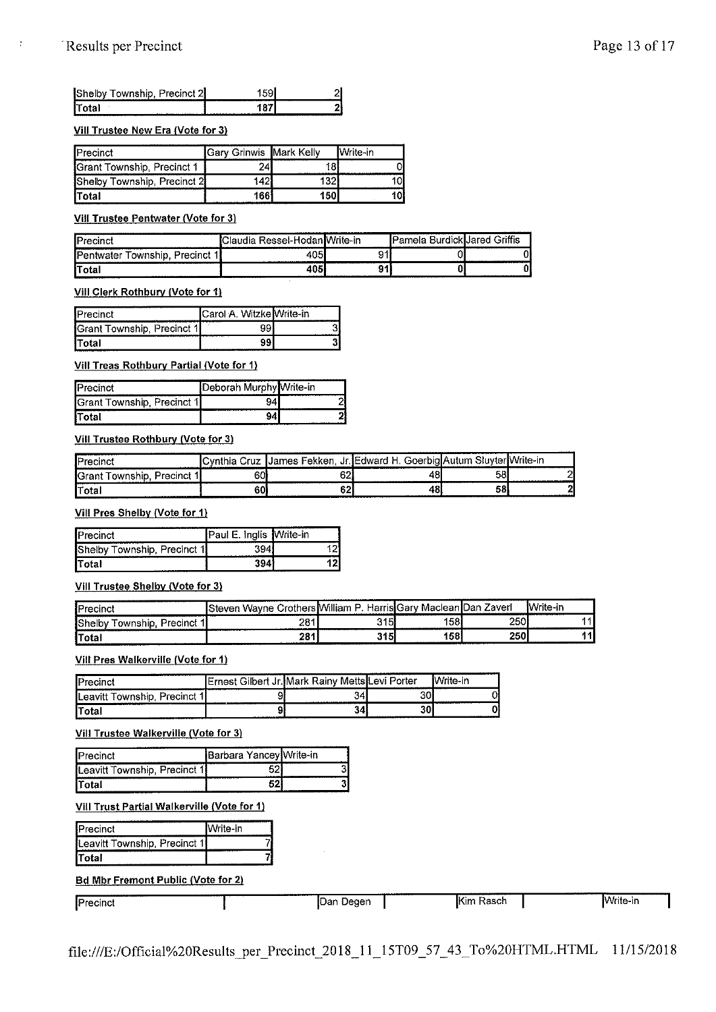$\frac{1}{4}$ 

| Shelby Township, Precinct 2 |  |
|-----------------------------|--|
| <b>ITotal</b>               |  |

#### **Viii Trustee New Era (Vote for 3)**

| <b>IPrecinct</b>            | <b>IGary Grinwis IMark Kelly</b> |     | <b>I</b> Write-in |
|-----------------------------|----------------------------------|-----|-------------------|
| Grant Township, Precinct 1  |                                  |     |                   |
| Shelby Township, Precinct 2 | 142                              |     |                   |
| <b>ITotal</b>               | 1661                             | 150 |                   |

#### **Vill Trustee Pentwater (Vote for 3)**

| IP             |                    |  |   |
|----------------|--------------------|--|---|
| m              | ------------------ |  |   |
| .<br>$\ddotsc$ |                    |  | . |

**Viii Clerk Rothbury (Vote for 1)** 

| Precinct                   | <b>I</b> Carol A. WitzkelWrite-in |  |
|----------------------------|-----------------------------------|--|
| Grant Township, Precinct 1 |                                   |  |
| <b>ITotal</b>              |                                   |  |

#### **Viii Treas Rothbury Partial (Vote for 1)**

| ---------------<br><br><b>IPrecinct</b> | <b>IDeborah Murphy Write-in</b> |  |
|-----------------------------------------|---------------------------------|--|
| <b>Grant Township, Precinct 1</b>       |                                 |  |
| <b>ITotal</b>                           | <br>                            |  |

#### **Viii Trustee Rothbury (Vote for 3)**

| 10r <sub>0</sub>                |     | James Fekken.  | Goerbial.<br>Jr.IEdward H. | — Sluvter…<br>-Autum | lWrite-in |
|---------------------------------|-----|----------------|----------------------------|----------------------|-----------|
| IQro<br>'arinr'<br>vnship<br>nu | 60. | on<br>оz.      | $\bullet$<br>ت             | 58                   |           |
| r<br>'ota<br>----------         | 60  | $\cdots$<br>υŁ |                            | 58                   |           |

#### **Viii Pres Shelby (Vote for 1)**

| <b>IPrecinct</b>                   | Paul E. Inglis Write-in |  |
|------------------------------------|-------------------------|--|
| <b>Shelby Township, Precinct 1</b> |                         |  |
| <b>ITotal</b>                      |                         |  |

#### **Viii Trustee Shelby (Vote for 3)**

| Precinct                             | Wayne<br>Stever | William<br>Harr<br>-<br>◡ | Mac<br>∹on | Zaverl<br>lar | <b>Write-in</b>          |
|--------------------------------------|-----------------|---------------------------|------------|---------------|--------------------------|
| <b>Shelby</b><br>Precinct<br>ownshic | 501<br>. .      | 315                       | 58         | 250           |                          |
| Total                                | 284<br>         | 315                       | 158        | 250           | $\overline{\phantom{0}}$ |

# **Viii Pres Walkerville (Vote for 1)**

| lPr                                | .<br>lm<br>Gilbert<br>. Jr 1<br>1Ernest | ∵lMark Rainv.         | ------------------<br>MettslLevi Porter | frite-in |
|------------------------------------|-----------------------------------------|-----------------------|-----------------------------------------|----------|
| Leavitt<br>Precinct 1<br>⊺ownship, | a                                       | 34<br>--------------- | 30<br>.                                 |          |
| Total                              |                                         | ' عن                  | 30                                      |          |

**Viii Trustee Walkerville (Vote for 3)** 

| <b>IPrecinct</b>                                                 | Barbara Yancey Write-in |  |
|------------------------------------------------------------------|-------------------------|--|
| <b>ILeavitt Township, Precinct 1</b>                             |                         |  |
| <b>ITotal</b><br>the contract of the contract of the contract of |                         |  |

#### **Viii Trust Partial Walkerville (Vote for 1)**

| <b>IPrecinct</b>             | <b>I</b> Write-in |
|------------------------------|-------------------|
| Leavitt Township, Precinct 1 |                   |
| <b>Total</b>                 |                   |

#### **Bd Mbr Fremont Public (Vote for 2)**

| ----------<br>---------<br>Precinct | ---------<br>IDan<br>Degen | -----------<br>--------<br><b>I</b> Kim<br>Rasch | <b>I</b> Write-in |
|-------------------------------------|----------------------------|--------------------------------------------------|-------------------|
|                                     |                            |                                                  |                   |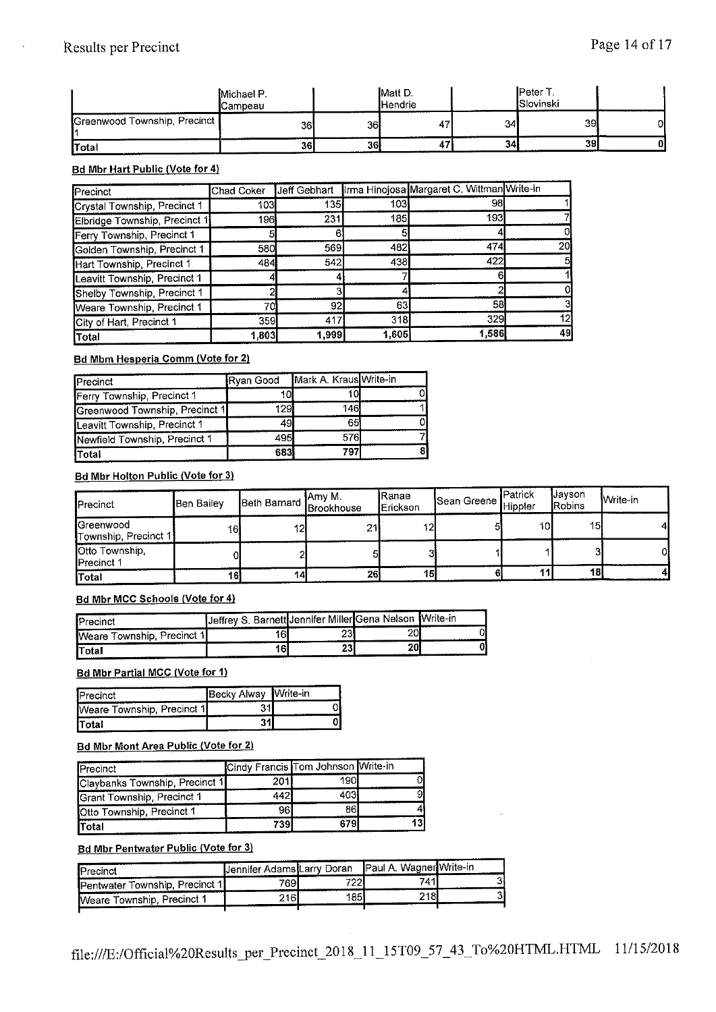|                              | Michael P.<br>Campeau |     | <b>Matt D.</b><br><b>I</b> Hendrie |    | <b>I</b> Peter T.<br><b>I</b> Slovinski |    |
|------------------------------|-----------------------|-----|------------------------------------|----|-----------------------------------------|----|
| Greenwood Township, Precinct | 36I                   | 361 | 47                                 | 34 | 39.                                     | οI |
| <b>Total</b>                 | <b>361</b>            | 36  | д,                                 | 34 | 39                                      | ΟI |

# **Bd Mbr Hart Public (Vote for 4)**

| Precinct                      | Chad Coker | Jeff Gebhart |       | Irma Hinojosa Margaret C. Wittman Write-in |    |
|-------------------------------|------------|--------------|-------|--------------------------------------------|----|
| Crystal Township, Precinct 1  | 103        | 135          | 103   | 98                                         |    |
| Elbridge Township, Precinct 1 | 196        | 231          | 185   | 193                                        |    |
| Ferry Township, Precinct 1    |            |              |       |                                            |    |
| Golden Township, Precinct 1   | 580        | 569          | 482   | 474                                        | 20 |
| Hart Township, Precinct 1     | 484        | 542          | 438   | 422                                        | 51 |
| Leavitt Township, Precinct 1  |            |              |       | ь                                          |    |
| Shelby Township, Precinct 1   |            |              |       |                                            |    |
| Weare Township, Precinct 1    | 70i        | 92           | 63    | 58                                         |    |
| City of Hart, Precinct 1      | 359        | 417          | 318   | 329                                        | 12 |
| <b>Total</b>                  | 1,803      | 1,999        | 1,605 | 1,586                                      | 49 |

# **Bd Mbm Hesperia Comm (Vote for 2)**

| Precinct                       | <b>IRvan Good</b> | Mark A. Kraus Write-in |  |
|--------------------------------|-------------------|------------------------|--|
| Ferry Township, Precinct 1     | 10l               |                        |  |
| Greenwood Township, Precinct 1 | 1291              | 146                    |  |
| Leavitt Township, Precinct 1   | 49                | 65                     |  |
| Newfield Township, Precinct 1  | 495               | 576 <b>1</b>           |  |
| <b>T</b> otal                  | 683               | 797                    |  |

# Bd Mbr Holton Public (Vote for 3)

| <b>I</b> Precinct                   | <b>Ben Bailev</b> |    | <b>j</b> Amy M.<br>Beth Barnard Brookhouse | lRanae<br><b>IErickson</b> | Sean Greene Hippler | <b>I</b> Patrick | <b>Uavson</b><br>Robins | <b>Write-in</b> |
|-------------------------------------|-------------------|----|--------------------------------------------|----------------------------|---------------------|------------------|-------------------------|-----------------|
| Greenwood<br>Township, Precinct 1   | 16)               | 12 | 21                                         | 12                         |                     | 10               | 15                      |                 |
| Otto Township,<br><b>Precinct 1</b> |                   |    |                                            |                            |                     |                  |                         |                 |
| Total                               | 161               | 14 | 26                                         | 15                         |                     |                  | 18I                     |                 |

# **Bd Mbr MCC Schools (Vote for 4)**

| <b>Precinct</b>            | Jeffrey S. Barnett Jennifer Miller Gena Nelson Write-in |                 |     |  |
|----------------------------|---------------------------------------------------------|-----------------|-----|--|
| Weare Township, Precinct 1 |                                                         | 25*             | 20I |  |
| <b>Total</b>               | 61                                                      | 23 <sup>1</sup> | 20  |  |

# **Bd Mbr Partial MCC (Vote for 1)**

| IPrecinct                  | Becky Alway Write-in |  |
|----------------------------|----------------------|--|
| Weare Township, Precinct 1 |                      |  |
| Total<br>$        -$       |                      |  |

#### **Bd Mbr Mont Area Public (Vote for 2)**

| Precinct                       | Cindy Francis Tom Johnson Write-in |     |  |
|--------------------------------|------------------------------------|-----|--|
| Claybanks Township, Precinct 1 | 201l                               | 190 |  |
| Grant Township, Precinct 1     | 442'                               | 403 |  |
| Otto Township, Precinct 1      | 961                                | 86  |  |
| Total                          | 739                                | 679 |  |

# **Bd Mbr Pentwater Public (Vote for 3)**

| Precinct                              | Uennifer Adams Larry Doran |     | Paul A. Wagner Write-in |  |
|---------------------------------------|----------------------------|-----|-------------------------|--|
| <b>Pentwater Township, Precinct 1</b> | 769.                       | 722 | 741.                    |  |
| Weare Township, Precinct 1            | 216                        | 185 | 218                     |  |
|                                       |                            |     |                         |  |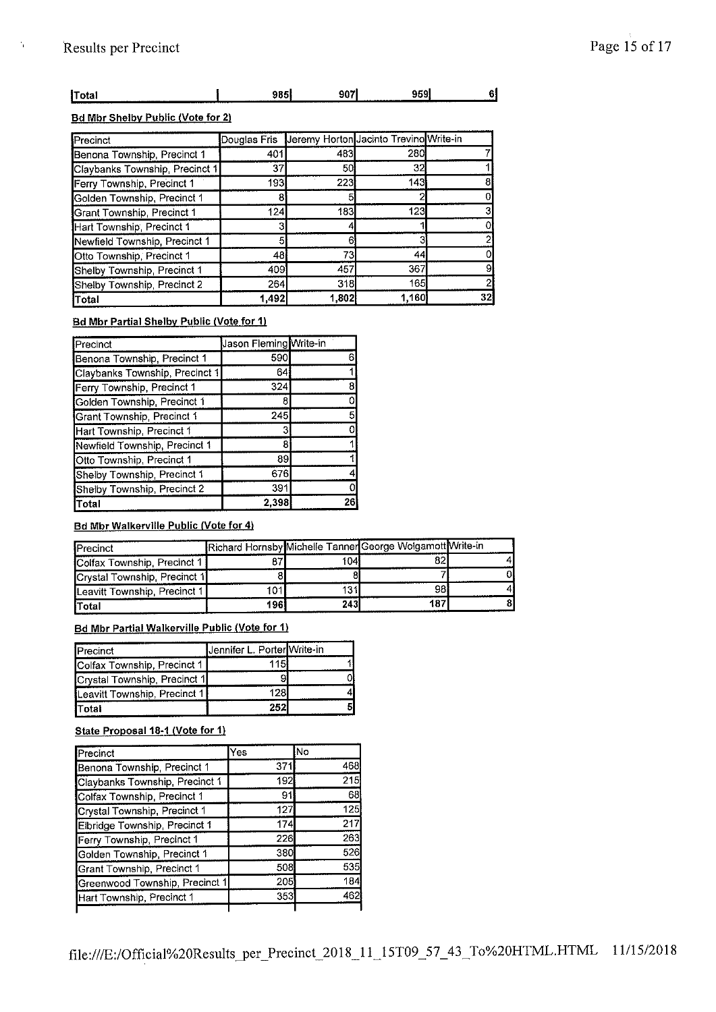$\frac{1}{3}$ 

| .<br>---<br>.                                          | .<br>-- | яr<br>. . | 959 | ---------- |
|--------------------------------------------------------|---------|-----------|-----|------------|
| __________________________<br><b>Contract Contract</b> |         |           |     |            |

# **Bd Mbr Shelby Public (Vote for 21**

| Precinct                       |       |       | Douglas Fris Jeremy Horton Jacinto Trevino Write-in |    |
|--------------------------------|-------|-------|-----------------------------------------------------|----|
| Benona Township, Precinct 1    | 401   | 483   | 280                                                 |    |
| Claybanks Township, Precinct 1 | 37    | 50    | 32                                                  |    |
| Ferry Township, Precinct 1     | 193   | 223   | 143                                                 |    |
| Golden Township, Precinct 1    |       |       |                                                     |    |
| Grant Township, Precinct 1     | 124   | 183   | 123                                                 |    |
| Hart Township, Precinct 1      |       |       |                                                     |    |
| Newfield Township, Precinct 1  |       |       |                                                     |    |
| Otto Township, Precinct 1      | 48    | 73    | 44                                                  |    |
| Shelby Township, Precinct 1    | 409   | 457   | 367                                                 |    |
| Shelby Township, Precinct 2    | 264   | 318   | 165                                                 |    |
| Total                          | 1.492 | 1,802 | 1.160                                               | 32 |

# **Bd Mbr Partial Shelby Public (Vote for 1)**

| Precinct                       | Jason Fleming Write-in |    |
|--------------------------------|------------------------|----|
| Benona Township, Precinct 1    | 590                    |    |
| Claybanks Township, Precinct 1 | 64                     |    |
| Ferry Township, Precinct 1     | 324                    |    |
| Golden Township, Precinct 1    | 8                      |    |
| Grant Township, Precinct 1     | 245                    |    |
| Hart Township, Precinct 1      | 3                      |    |
| Newfield Township, Precinct 1  | 8                      |    |
| Otto Township, Precinct 1      | 89                     |    |
| Shelby Township, Precinct 1    | 676                    |    |
| Shelby Township, Precinct 2    | 391                    |    |
| Total                          | 2.398                  | 26 |

# **Bd Mbr Walkerville Public (Vote for 4)**

| Precinct                     |     |     | Richard Hornsby Michelle Tanner George Wolgamott Write-in |  |
|------------------------------|-----|-----|-----------------------------------------------------------|--|
| Colfax Township, Precinct 1  |     | 104 |                                                           |  |
| Crystal Township, Precinct 1 |     |     |                                                           |  |
| Leavitt Township, Precinct 1 | 101 | 131 | 981                                                       |  |
| <b>Total</b>                 | 196 | 243 | 187                                                       |  |

# **Bd Mbr Partial Walkerville Public (Vote for 1)**

| Precinct                     | Jennifer L. Porter Write-in |  |
|------------------------------|-----------------------------|--|
| Colfax Township, Precinct 1  | 1151                        |  |
| Crystal Township, Precinct 1 |                             |  |
| Leavitt Township, Precinct 1 | 1281                        |  |
| <b>Total</b>                 | 252                         |  |

# **State Proposal 18-1 (Vote for 1)**

| Precinct                       | Yes | lNo |
|--------------------------------|-----|-----|
| Benona Township, Precinct 1    | 371 | 468 |
| Claybanks Township, Precinct 1 | 192 | 215 |
| Colfax Township, Precinct 1    | 91  | 68  |
| Crystal Township, Precinct 1   | 127 | 125 |
| Elbridge Township, Precinct 1  | 174 | 217 |
| Ferry Township, Precinct 1     | 226 | 263 |
| Golden Township, Precinct 1    | 380 | 526 |
| Grant Township, Precinct 1     | 508 | 535 |
| Greenwood Township, Precinct 1 | 205 | 184 |
| Hart Township, Precinct 1      | 353 | 462 |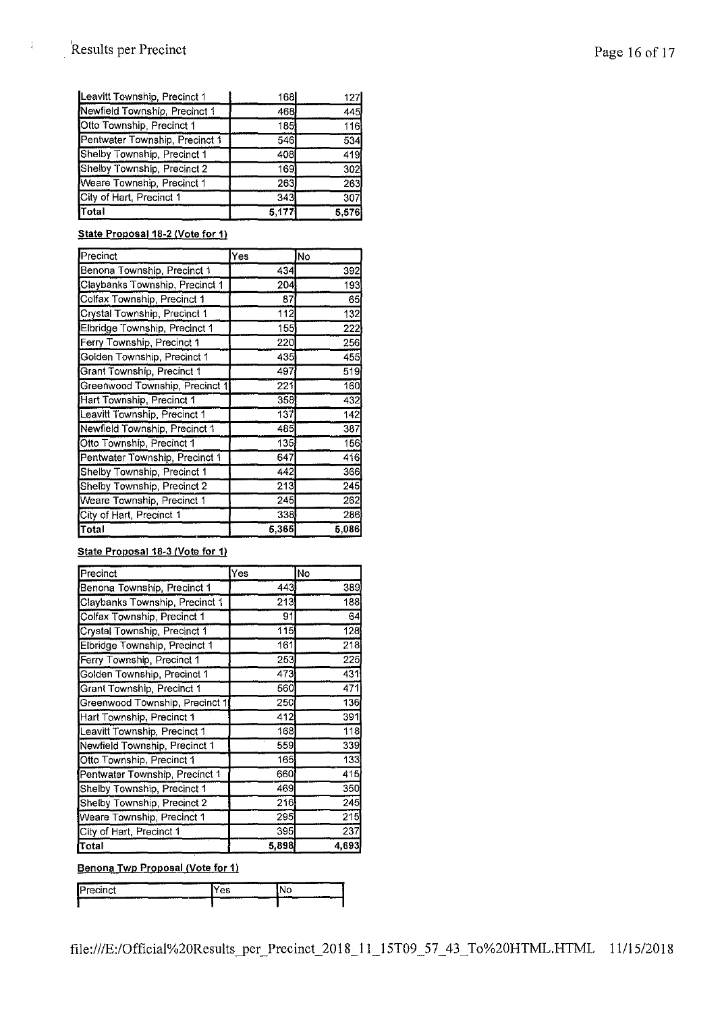$\mathfrak j$ 

| Total                          | 5,177      | 5.576            |
|--------------------------------|------------|------------------|
| City of Hart, Precinct 1       | 343        | 307              |
| Weare Township, Precinct 1     | 263        | 263              |
| Shelby Township, Precinct 2    | 169        | 302 <sub>l</sub> |
| Shelby Township, Precinct 1    | 408        | 419              |
| Pentwater Township, Precinct 1 | 546        | 534              |
| Otto Township, Precinct 1      | 185        | 116              |
| Newfield Township, Precinct 1  | 468.       | 445              |
| Leavitt Township, Precinct 1   | <b>168</b> | 127              |

# **State Proposal 18-2 (Vote for** 1)

| Precinct                       | Yes   | No    |
|--------------------------------|-------|-------|
| Benona Township, Precinct 1    | 434   | 392   |
| Claybanks Township, Precinct 1 | 204   | 193   |
| Colfax Township, Precinct 1    | 87    | 65    |
| Crystal Township, Precinct 1   | 112   | 132   |
| Elbridge Township, Precinct 1  | 155   | 222   |
| Ferry Township, Precinct 1     | 220   | 256   |
| Golden Township, Precinct 1    | 435   | 455   |
| Grant Township, Precinct 1     | 497   | 519   |
| Greenwood Township, Precinct 1 | 221   | 160   |
| Hart Township, Precinct 1      | 358   | 432   |
| Leavitt Township, Precinct 1   | 137   | 142   |
| Newfield Township, Precinct 1  | 485   | 387   |
| Otto Township, Precinct 1      | 135   | 156   |
| Pentwater Township, Precinct 1 | 647   | 416   |
| Shelby Township, Precinct 1    | 442   | 366   |
| Shelby Township, Precinct 2    | 213   | 245   |
| Weare Township, Precinct 1     | 245   | 262   |
| City of Hart, Precinct 1       | 338   | 286   |
| Total                          | 5,365 | 5,086 |

# **State Proposal 18-3 /Vote for 1)**

| Precinct                       | Yes   | No    |
|--------------------------------|-------|-------|
| Benona Township, Precinct 1    | 443   | 389   |
| Claybanks Township, Precinct 1 | 213   | 188   |
| Colfax Township, Precinct 1    | 91    | 64    |
| Crystal Township, Precinct 1   | 115   | 128   |
| Elbridge Township, Precinct 1  | 161   | 218   |
| Ferry Township, Precinct 1     | 253   | 225   |
| Golden Township, Precinct 1    | 473   | 431   |
| Grant Township, Precinct 1     | 560   | 471   |
| Greenwood Township, Precinct 1 | 250   | 136   |
| Hart Township, Precinct 1      | 412   | 391   |
| Leavitt Township, Precinct 1   | 168   | 118   |
| Newfield Township, Precinct 1  | 559   | 339   |
| Otto Township, Precinct 1      | 165   | 133   |
| Pentwater Township, Precinct 1 | 660   | 415   |
| Shelby Township, Precinct 1    | 469   | 350   |
| Shelby Township, Precinct 2    | 216   | 245   |
| Weare Township, Precinct 1     | 295   | 215   |
| City of Hart, Precinct 1       | 395   | 237   |
| Total                          | 5,898 | 4,693 |

# **Benona Twp Proposal (Vote for 1)**

| --------<br>_______<br>--<br>-------<br>. .<br>--------<br>------<br><br>--------- | $-$<br>----<br><br> | <br><br>.<br>---------<br>----- |
|------------------------------------------------------------------------------------|---------------------|---------------------------------|
| <b>CONTRACTOR</b>                                                                  |                     |                                 |